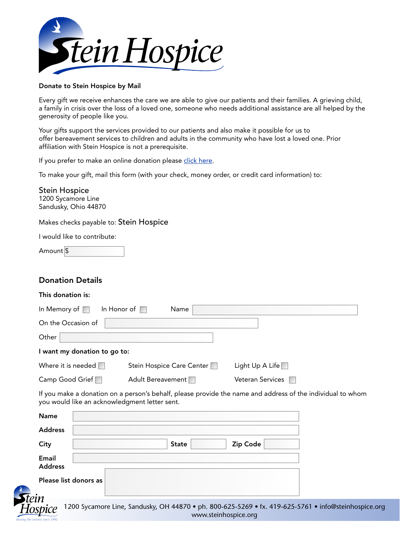

### Donate to Stein Hospice by Mail

Every gift we receive enhances the care we are able to give our patients and their families. A grieving child, a family in crisis over the loss of a loved one, someone who needs additional assistance are all helped by the generosity of people like you.

Your gifts support the services provided to our patients and also make it possible for us to offer bereavement services to children and adults in the community who have lost a loved one. Prior affiliation with Stein Hospice is not a prerequisite.

If you prefer to make an online donation please click here.

To make your gift, mail this form (with your check, money order, or credit card information) to:

Stein Hospice 1200 Sycamore Line Sandusky, Ohio 44870

Makes checks payable to: Stein Hospice

I would like to contribute:

| Amount \$ |  |
|-----------|--|
|-----------|--|

# Donation Details

#### This donation is:

| In Memory of $\Box$<br>In Honor of | Name                      |                         |  |
|------------------------------------|---------------------------|-------------------------|--|
| On the Occasion of                 |                           |                         |  |
| Other                              |                           |                         |  |
| I want my donation to go to:       |                           |                         |  |
| Where it is needed                 | Stein Hospice Care Center | Light Up A Life $\Box$  |  |
| Camp Good Grief                    | Adult Bereavement         | <b>Veteran Services</b> |  |

If you make a donation on a person's behalf, please provide the name and address of the individual to whom you would like an acknowledgment letter sent.

www.steinhospice.org

| <b>Name</b>             |                                                                                                      |
|-------------------------|------------------------------------------------------------------------------------------------------|
| <b>Address</b>          |                                                                                                      |
| City                    | Zip Code<br><b>State</b>                                                                             |
| Email<br><b>Address</b> |                                                                                                      |
|                         | Please list donors as                                                                                |
| in                      |                                                                                                      |
| snice                   | 1200 Sycamore Line, Sandusky, OH 44870 • ph. 800-625-5269 • fx. 419-625-5761 • info@steinhospice.org |